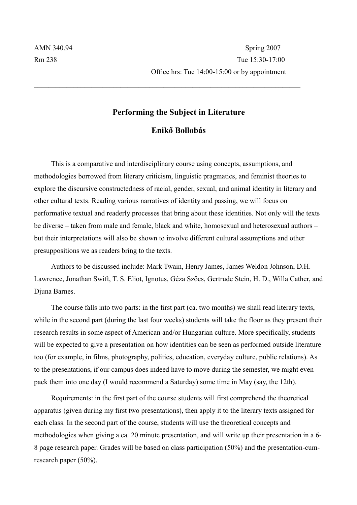## **Performing the Subject in Literature Enikő Bollobás**

 $\mathcal{L}_\text{max} = \frac{1}{2} \sum_{i=1}^n \mathcal{L}_\text{max}(\mathbf{z}_i - \mathbf{z}_i)$ 

This is a comparative and interdisciplinary course using concepts, assumptions, and methodologies borrowed from literary criticism, linguistic pragmatics, and feminist theories to explore the discursive constructedness of racial, gender, sexual, and animal identity in literary and other cultural texts. Reading various narratives of identity and passing, we will focus on performative textual and readerly processes that bring about these identities. Not only will the texts be diverse – taken from male and female, black and white, homosexual and heterosexual authors – but their interpretations will also be shown to involve different cultural assumptions and other presuppositions we as readers bring to the texts.

Authors to be discussed include: Mark Twain, Henry James, James Weldon Johnson, D.H. Lawrence, Jonathan Swift, T. S. Eliot, Ignotus, Géza Szőcs, Gertrude Stein, H. D., Willa Cather, and Djuna Barnes.

The course falls into two parts: in the first part (ca. two months) we shall read literary texts, while in the second part (during the last four weeks) students will take the floor as they present their research results in some aspect of American and/or Hungarian culture. More specifically, students will be expected to give a presentation on how identities can be seen as performed outside literature too (for example, in films, photography, politics, education, everyday culture, public relations). As to the presentations, if our campus does indeed have to move during the semester, we might even pack them into one day (I would recommend a Saturday) some time in May (say, the 12th).

Requirements: in the first part of the course students will first comprehend the theoretical apparatus (given during my first two presentations), then apply it to the literary texts assigned for each class. In the second part of the course, students will use the theoretical concepts and methodologies when giving a ca. 20 minute presentation, and will write up their presentation in a 6- 8 page research paper. Grades will be based on class participation (50%) and the presentation-cumresearch paper (50%).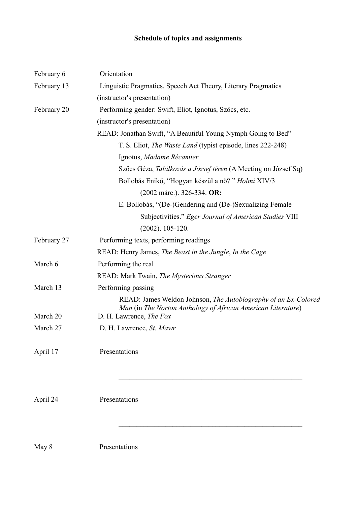## **Schedule of topics and assignments**

| February 6  | Orientation                                                                                                                    |
|-------------|--------------------------------------------------------------------------------------------------------------------------------|
| February 13 | Linguistic Pragmatics, Speech Act Theory, Literary Pragmatics                                                                  |
|             | (instructor's presentation)                                                                                                    |
| February 20 | Performing gender: Swift, Eliot, Ignotus, Szőcs, etc.                                                                          |
|             | (instructor's presentation)                                                                                                    |
|             | READ: Jonathan Swift, "A Beautiful Young Nymph Going to Bed"                                                                   |
|             | T. S. Eliot, <i>The Waste Land</i> (typist episode, lines 222-248)                                                             |
|             | Ignotus, Madame Récamier                                                                                                       |
|             | Szőcs Géza, <i>Találkozás a József téren</i> (A Meeting on József Sq)                                                          |
|             | Bollobás Enikő, "Hogyan készül a nő? " Holmi XIV/3                                                                             |
|             | (2002 márc.). 326-334. OR:                                                                                                     |
|             | E. Bollobás, "(De-)Gendering and (De-)Sexualizing Female                                                                       |
|             | Subjectivities." Eger Journal of American Studies VIII                                                                         |
|             | $(2002)$ . 105-120.                                                                                                            |
| February 27 | Performing texts, performing readings                                                                                          |
|             | READ: Henry James, The Beast in the Jungle, In the Cage                                                                        |
| March 6     | Performing the real                                                                                                            |
|             | READ: Mark Twain, The Mysterious Stranger                                                                                      |
| March 13    | Performing passing                                                                                                             |
|             | READ: James Weldon Johnson, The Autobiography of an Ex-Colored<br>Man (in The Norton Anthology of African American Literature) |
| March 20    | D. H. Lawrence, The Fox                                                                                                        |
| March 27    | D. H. Lawrence, St. Mawr                                                                                                       |
| April 17    | Presentations                                                                                                                  |
|             |                                                                                                                                |
| April 24    | Presentations                                                                                                                  |

 $\mathcal{L}_\text{max}$  , and the contract of the contract of the contract of the contract of the contract of the contract of

May 8 Presentations